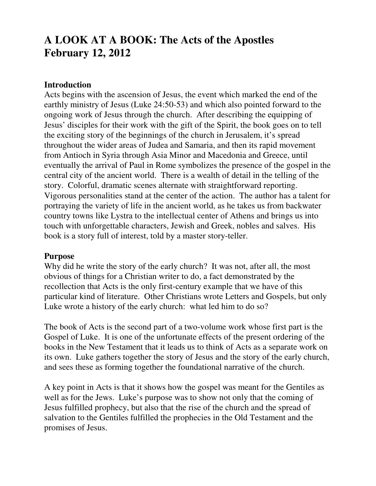# **A LOOK AT A BOOK: The Acts of the Apostles February 12, 2012**

### **Introduction**

Acts begins with the ascension of Jesus, the event which marked the end of the earthly ministry of Jesus (Luke 24:50-53) and which also pointed forward to the ongoing work of Jesus through the church. After describing the equipping of Jesus' disciples for their work with the gift of the Spirit, the book goes on to tell the exciting story of the beginnings of the church in Jerusalem, it's spread throughout the wider areas of Judea and Samaria, and then its rapid movement from Antioch in Syria through Asia Minor and Macedonia and Greece, until eventually the arrival of Paul in Rome symbolizes the presence of the gospel in the central city of the ancient world. There is a wealth of detail in the telling of the story. Colorful, dramatic scenes alternate with straightforward reporting. Vigorous personalities stand at the center of the action. The author has a talent for portraying the variety of life in the ancient world, as he takes us from backwater country towns like Lystra to the intellectual center of Athens and brings us into touch with unforgettable characters, Jewish and Greek, nobles and salves. His book is a story full of interest, told by a master story-teller.

#### **Purpose**

Why did he write the story of the early church? It was not, after all, the most obvious of things for a Christian writer to do, a fact demonstrated by the recollection that Acts is the only first-century example that we have of this particular kind of literature. Other Christians wrote Letters and Gospels, but only Luke wrote a history of the early church: what led him to do so?

The book of Acts is the second part of a two-volume work whose first part is the Gospel of Luke. It is one of the unfortunate effects of the present ordering of the books in the New Testament that it leads us to think of Acts as a separate work on its own. Luke gathers together the story of Jesus and the story of the early church, and sees these as forming together the foundational narrative of the church.

A key point in Acts is that it shows how the gospel was meant for the Gentiles as well as for the Jews. Luke's purpose was to show not only that the coming of Jesus fulfilled prophecy, but also that the rise of the church and the spread of salvation to the Gentiles fulfilled the prophecies in the Old Testament and the promises of Jesus.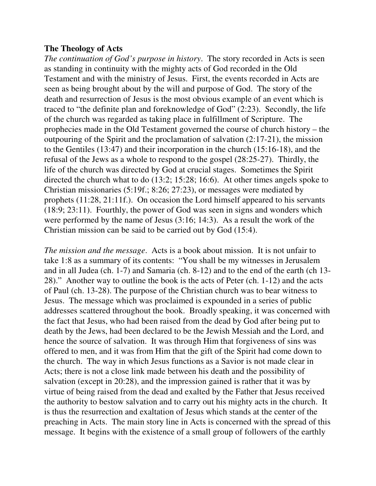#### **The Theology of Acts**

*The continuation of God's purpose in history*. The story recorded in Acts is seen as standing in continuity with the mighty acts of God recorded in the Old Testament and with the ministry of Jesus. First, the events recorded in Acts are seen as being brought about by the will and purpose of God. The story of the death and resurrection of Jesus is the most obvious example of an event which is traced to "the definite plan and foreknowledge of God" (2:23). Secondly, the life of the church was regarded as taking place in fulfillment of Scripture. The prophecies made in the Old Testament governed the course of church history – the outpouring of the Spirit and the proclamation of salvation (2:17-21), the mission to the Gentiles (13:47) and their incorporation in the church (15:16-18), and the refusal of the Jews as a whole to respond to the gospel (28:25-27). Thirdly, the life of the church was directed by God at crucial stages. Sometimes the Spirit directed the church what to do (13:2; 15:28; 16:6). At other times angels spoke to Christian missionaries (5:19f.; 8:26; 27:23), or messages were mediated by prophets (11:28, 21:11f.). On occasion the Lord himself appeared to his servants (18:9; 23:11). Fourthly, the power of God was seen in signs and wonders which were performed by the name of Jesus (3:16; 14:3). As a result the work of the Christian mission can be said to be carried out by God (15:4).

*The mission and the message*. Acts is a book about mission. It is not unfair to take 1:8 as a summary of its contents: "You shall be my witnesses in Jerusalem and in all Judea (ch. 1-7) and Samaria (ch. 8-12) and to the end of the earth (ch 13- 28)." Another way to outline the book is the acts of Peter (ch. 1-12) and the acts of Paul (ch. 13-28). The purpose of the Christian church was to bear witness to Jesus. The message which was proclaimed is expounded in a series of public addresses scattered throughout the book. Broadly speaking, it was concerned with the fact that Jesus, who had been raised from the dead by God after being put to death by the Jews, had been declared to be the Jewish Messiah and the Lord, and hence the source of salvation. It was through Him that forgiveness of sins was offered to men, and it was from Him that the gift of the Spirit had come down to the church. The way in which Jesus functions as a Savior is not made clear in Acts; there is not a close link made between his death and the possibility of salvation (except in 20:28), and the impression gained is rather that it was by virtue of being raised from the dead and exalted by the Father that Jesus received the authority to bestow salvation and to carry out his mighty acts in the church. It is thus the resurrection and exaltation of Jesus which stands at the center of the preaching in Acts. The main story line in Acts is concerned with the spread of this message. It begins with the existence of a small group of followers of the earthly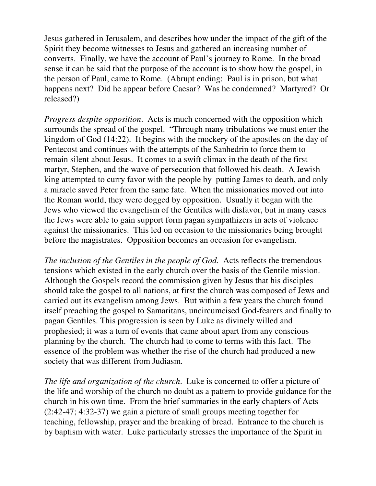Jesus gathered in Jerusalem, and describes how under the impact of the gift of the Spirit they become witnesses to Jesus and gathered an increasing number of converts. Finally, we have the account of Paul's journey to Rome. In the broad sense it can be said that the purpose of the account is to show how the gospel, in the person of Paul, came to Rome. (Abrupt ending: Paul is in prison, but what happens next? Did he appear before Caesar? Was he condemned? Martyred? Or released?)

*Progress despite opposition*. Acts is much concerned with the opposition which surrounds the spread of the gospel. "Through many tribulations we must enter the kingdom of God (14:22). It begins with the mockery of the apostles on the day of Pentecost and continues with the attempts of the Sanhedrin to force them to remain silent about Jesus. It comes to a swift climax in the death of the first martyr, Stephen, and the wave of persecution that followed his death. A Jewish king attempted to curry favor with the people by putting James to death, and only a miracle saved Peter from the same fate. When the missionaries moved out into the Roman world, they were dogged by opposition. Usually it began with the Jews who viewed the evangelism of the Gentiles with disfavor, but in many cases the Jews were able to gain support form pagan sympathizers in acts of violence against the missionaries. This led on occasion to the missionaries being brought before the magistrates. Opposition becomes an occasion for evangelism.

*The inclusion of the Gentiles in the people of God.* Acts reflects the tremendous tensions which existed in the early church over the basis of the Gentile mission. Although the Gospels record the commission given by Jesus that his disciples should take the gospel to all nations, at first the church was composed of Jews and carried out its evangelism among Jews. But within a few years the church found itself preaching the gospel to Samaritans, uncircumcised God-fearers and finally to pagan Gentiles. This progression is seen by Luke as divinely willed and prophesied; it was a turn of events that came about apart from any conscious planning by the church. The church had to come to terms with this fact. The essence of the problem was whether the rise of the church had produced a new society that was different from Judiasm.

*The life and organization of the church*. Luke is concerned to offer a picture of the life and worship of the church no doubt as a pattern to provide guidance for the church in his own time. From the brief summaries in the early chapters of Acts (2:42-47; 4:32-37) we gain a picture of small groups meeting together for teaching, fellowship, prayer and the breaking of bread. Entrance to the church is by baptism with water. Luke particularly stresses the importance of the Spirit in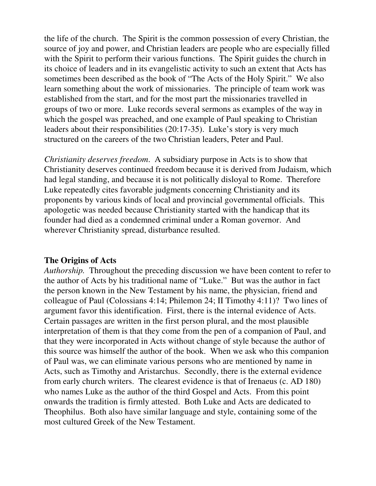the life of the church. The Spirit is the common possession of every Christian, the source of joy and power, and Christian leaders are people who are especially filled with the Spirit to perform their various functions. The Spirit guides the church in its choice of leaders and in its evangelistic activity to such an extent that Acts has sometimes been described as the book of "The Acts of the Holy Spirit." We also learn something about the work of missionaries. The principle of team work was established from the start, and for the most part the missionaries travelled in groups of two or more. Luke records several sermons as examples of the way in which the gospel was preached, and one example of Paul speaking to Christian leaders about their responsibilities (20:17-35). Luke's story is very much structured on the careers of the two Christian leaders, Peter and Paul.

*Christianity deserves freedom*. A subsidiary purpose in Acts is to show that Christianity deserves continued freedom because it is derived from Judaism, which had legal standing, and because it is not politically disloyal to Rome. Therefore Luke repeatedly cites favorable judgments concerning Christianity and its proponents by various kinds of local and provincial governmental officials. This apologetic was needed because Christianity started with the handicap that its founder had died as a condemned criminal under a Roman governor. And wherever Christianity spread, disturbance resulted.

## **The Origins of Acts**

*Authorship.* Throughout the preceding discussion we have been content to refer to the author of Acts by his traditional name of "Luke." But was the author in fact the person known in the New Testament by his name, the physician, friend and colleague of Paul (Colossians 4:14; Philemon 24; II Timothy 4:11)? Two lines of argument favor this identification. First, there is the internal evidence of Acts. Certain passages are written in the first person plural, and the most plausible interpretation of them is that they come from the pen of a companion of Paul, and that they were incorporated in Acts without change of style because the author of this source was himself the author of the book. When we ask who this companion of Paul was, we can eliminate various persons who are mentioned by name in Acts, such as Timothy and Aristarchus. Secondly, there is the external evidence from early church writers. The clearest evidence is that of Irenaeus (c. AD 180) who names Luke as the author of the third Gospel and Acts. From this point onwards the tradition is firmly attested. Both Luke and Acts are dedicated to Theophilus. Both also have similar language and style, containing some of the most cultured Greek of the New Testament.